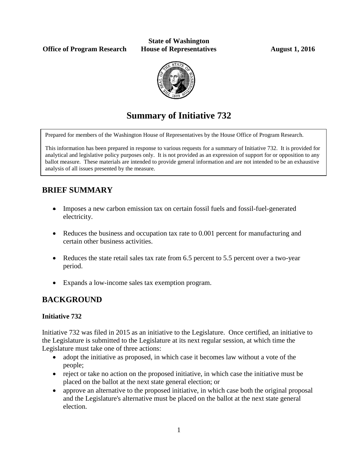**Office of Program Research House of Representatives August 1, 2016** 

**State of Washington**



# **Summary of Initiative 732**

Prepared for members of the Washington House of Representatives by the House Office of Program Research.

This information has been prepared in response to various requests for a summary of Initiative 732. It is provided for analytical and legislative policy purposes only. It is not provided as an expression of support for or opposition to any ballot measure. These materials are intended to provide general information and are not intended to be an exhaustive analysis of all issues presented by the measure.

## **BRIEF SUMMARY**

- Imposes a new carbon emission tax on certain fossil fuels and fossil-fuel-generated electricity.
- Reduces the business and occupation tax rate to 0.001 percent for manufacturing and certain other business activities.
- Reduces the state retail sales tax rate from 6.5 percent to 5.5 percent over a two-year period.
- Expands a low-income sales tax exemption program.

## **BACKGROUND**

#### **Initiative 732**

Initiative 732 was filed in 2015 as an initiative to the Legislature. Once certified, an initiative to the Legislature is submitted to the Legislature at its next regular session, at which time the Legislature must take one of three actions:

- adopt the initiative as proposed, in which case it becomes law without a vote of the people;
- reject or take no action on the proposed initiative, in which case the initiative must be placed on the ballot at the next state general election; or
- approve an alternative to the proposed initiative, in which case both the original proposal and the Legislature's alternative must be placed on the ballot at the next state general election.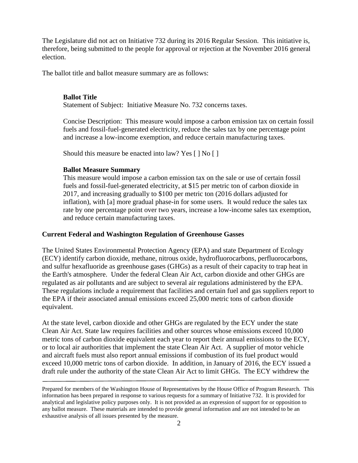The Legislature did not act on Initiative 732 during its 2016 Regular Session. This initiative is, therefore, being submitted to the people for approval or rejection at the November 2016 general election.

The ballot title and ballot measure summary are as follows:

#### **Ballot Title**

Statement of Subject: Initiative Measure No. 732 concerns taxes.

Concise Description: This measure would impose a carbon emission tax on certain fossil fuels and fossil-fuel-generated electricity, reduce the sales tax by one percentage point and increase a low-income exemption, and reduce certain manufacturing taxes.

Should this measure be enacted into law? Yes [ ] No [ ]

#### **Ballot Measure Summary**

This measure would impose a carbon emission tax on the sale or use of certain fossil fuels and fossil-fuel-generated electricity, at \$15 per metric ton of carbon dioxide in 2017, and increasing gradually to \$100 per metric ton (2016 dollars adjusted for inflation), with [a] more gradual phase-in for some users. It would reduce the sales tax rate by one percentage point over two years, increase a low-income sales tax exemption, and reduce certain manufacturing taxes.

#### **Current Federal and Washington Regulation of Greenhouse Gasses**

The United States Environmental Protection Agency (EPA) and state Department of Ecology (ECY) identify carbon dioxide, methane, nitrous oxide, hydrofluorocarbons, perfluorocarbons, and sulfur hexafluoride as greenhouse gases (GHGs) as a result of their capacity to trap heat in the Earth's atmosphere. Under the federal Clean Air Act, carbon dioxide and other GHGs are regulated as air pollutants and are subject to several air regulations administered by the EPA. These regulations include a requirement that facilities and certain fuel and gas suppliers report to the EPA if their associated annual emissions exceed 25,000 metric tons of carbon dioxide equivalent.

At the state level, carbon dioxide and other GHGs are regulated by the ECY under the state Clean Air Act. State law requires facilities and other sources whose emissions exceed 10,000 metric tons of carbon dioxide equivalent each year to report their annual emissions to the ECY, or to local air authorities that implement the state Clean Air Act. A supplier of motor vehicle and aircraft fuels must also report annual emissions if combustion of its fuel product would exceed 10,000 metric tons of carbon dioxide. In addition, in January of 2016, the ECY issued a draft rule under the authority of the state Clean Air Act to limit GHGs. The ECY withdrew the

Prepared for members of the Washington House of Representatives by the House Office of Program Research. This information has been prepared in response to various requests for a summary of Initiative 732. It is provided for analytical and legislative policy purposes only. It is not provided as an expression of support for or opposition to any ballot measure. These materials are intended to provide general information and are not intended to be an exhaustive analysis of all issues presented by the measure.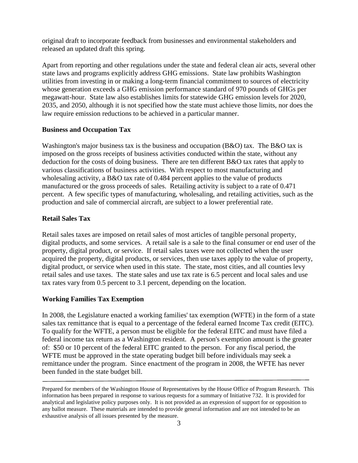original draft to incorporate feedback from businesses and environmental stakeholders and released an updated draft this spring.

Apart from reporting and other regulations under the state and federal clean air acts, several other state laws and programs explicitly address GHG emissions. State law prohibits Washington utilities from investing in or making a long-term financial commitment to sources of electricity whose generation exceeds a GHG emission performance standard of 970 pounds of GHGs per megawatt-hour. State law also establishes limits for statewide GHG emission levels for 2020, 2035, and 2050, although it is not specified how the state must achieve those limits, nor does the law require emission reductions to be achieved in a particular manner.

#### **Business and Occupation Tax**

Washington's major business tax is the business and occupation (B&O) tax. The B&O tax is imposed on the gross receipts of business activities conducted within the state, without any deduction for the costs of doing business. There are ten different B&O tax rates that apply to various classifications of business activities. With respect to most manufacturing and wholesaling activity, a B&O tax rate of 0.484 percent applies to the value of products manufactured or the gross proceeds of sales. Retailing activity is subject to a rate of 0.471 percent. A few specific types of manufacturing, wholesaling, and retailing activities, such as the production and sale of commercial aircraft, are subject to a lower preferential rate.

#### **Retail Sales Tax**

Retail sales taxes are imposed on retail sales of most articles of tangible personal property, digital products, and some services. A retail sale is a sale to the final consumer or end user of the property, digital product, or service. If retail sales taxes were not collected when the user acquired the property, digital products, or services, then use taxes apply to the value of property, digital product, or service when used in this state. The state, most cities, and all counties levy retail sales and use taxes. The state sales and use tax rate is 6.5 percent and local sales and use tax rates vary from 0.5 percent to 3.1 percent, depending on the location.

#### **Working Families Tax Exemption**

In 2008, the Legislature enacted a working families' tax exemption (WFTE) in the form of a state sales tax remittance that is equal to a percentage of the federal earned Income Tax credit (EITC). To qualify for the WFTE, a person must be eligible for the federal EITC and must have filed a federal income tax return as a Washington resident. A person's exemption amount is the greater of: \$50 or 10 percent of the federal EITC granted to the person. For any fiscal period, the WFTE must be approved in the state operating budget bill before individuals may seek a remittance under the program. Since enactment of the program in 2008, the WFTE has never been funded in the state budget bill.

Prepared for members of the Washington House of Representatives by the House Office of Program Research. This information has been prepared in response to various requests for a summary of Initiative 732. It is provided for analytical and legislative policy purposes only. It is not provided as an expression of support for or opposition to any ballot measure. These materials are intended to provide general information and are not intended to be an exhaustive analysis of all issues presented by the measure.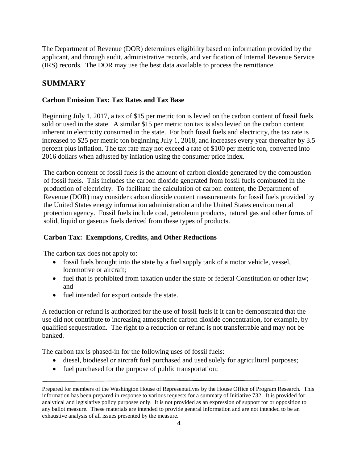The Department of Revenue (DOR) determines eligibility based on information provided by the applicant, and through audit, administrative records, and verification of Internal Revenue Service (IRS) records. The DOR may use the best data available to process the remittance.

### **SUMMARY**

#### **Carbon Emission Tax: Tax Rates and Tax Base**

Beginning July 1, 2017, a tax of \$15 per metric ton is levied on the carbon content of fossil fuels sold or used in the state. A similar \$15 per metric ton tax is also levied on the carbon content inherent in electricity consumed in the state. For both fossil fuels and electricity, the tax rate is increased to \$25 per metric ton beginning July 1, 2018, and increases every year thereafter by 3.5 percent plus inflation. The tax rate may not exceed a rate of \$100 per metric ton, converted into 2016 dollars when adjusted by inflation using the consumer price index.

The carbon content of fossil fuels is the amount of carbon dioxide generated by the combustion of fossil fuels. This includes the carbon dioxide generated from fossil fuels combusted in the production of electricity. To facilitate the calculation of carbon content, the Department of Revenue (DOR) may consider carbon dioxide content measurements for fossil fuels provided by the United States energy information administration and the United States environmental protection agency. Fossil fuels include coal, petroleum products, natural gas and other forms of solid, liquid or gaseous fuels derived from these types of products.

#### **Carbon Tax: Exemptions, Credits, and Other Reductions**

The carbon tax does not apply to:

- fossil fuels brought into the state by a fuel supply tank of a motor vehicle, vessel, locomotive or aircraft;
- fuel that is prohibited from taxation under the state or federal Constitution or other law; and
- fuel intended for export outside the state.

A reduction or refund is authorized for the use of fossil fuels if it can be demonstrated that the use did not contribute to increasing atmospheric carbon dioxide concentration, for example, by qualified sequestration. The right to a reduction or refund is not transferrable and may not be banked.

The carbon tax is phased-in for the following uses of fossil fuels:

- diesel, biodiesel or aircraft fuel purchased and used solely for agricultural purposes;
- fuel purchased for the purpose of public transportation;

Prepared for members of the Washington House of Representatives by the House Office of Program Research. This information has been prepared in response to various requests for a summary of Initiative 732. It is provided for analytical and legislative policy purposes only. It is not provided as an expression of support for or opposition to any ballot measure. These materials are intended to provide general information and are not intended to be an exhaustive analysis of all issues presented by the measure.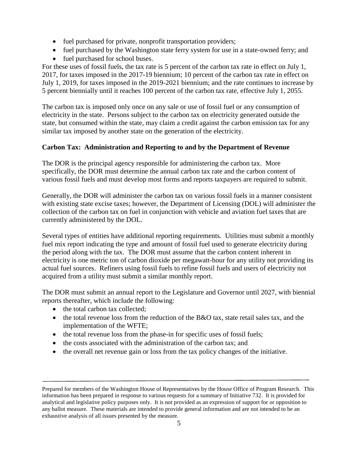- fuel purchased for private, nonprofit transportation providers;
- fuel purchased by the Washington state ferry system for use in a state-owned ferry; and
- fuel purchased for school buses.

For these uses of fossil fuels, the tax rate is 5 percent of the carbon tax rate in effect on July 1, 2017, for taxes imposed in the 2017-19 biennium; 10 percent of the carbon tax rate in effect on July 1, 2019, for taxes imposed in the 2019-2021 biennium; and the rate continues to increase by 5 percent biennially until it reaches 100 percent of the carbon tax rate, effective July 1, 2055.

The carbon tax is imposed only once on any sale or use of fossil fuel or any consumption of electricity in the state. Persons subject to the carbon tax on electricity generated outside the state, but consumed within the state, may claim a credit against the carbon emission tax for any similar tax imposed by another state on the generation of the electricity.

#### **Carbon Tax: Administration and Reporting to and by the Department of Revenue**

The DOR is the principal agency responsible for administering the carbon tax. More specifically, the DOR must determine the annual carbon tax rate and the carbon content of various fossil fuels and must develop most forms and reports taxpayers are required to submit.

Generally, the DOR will administer the carbon tax on various fossil fuels in a manner consistent with existing state excise taxes; however, the Department of Licensing (DOL) will administer the collection of the carbon tax on fuel in conjunction with vehicle and aviation fuel taxes that are currently administered by the DOL.

Several types of entities have additional reporting requirements. Utilities must submit a monthly fuel mix report indicating the type and amount of fossil fuel used to generate electricity during the period along with the tax. The DOR must assume that the carbon content inherent in electricity is one metric ton of carbon dioxide per megawatt-hour for any utility not providing its actual fuel sources. Refiners using fossil fuels to refine fossil fuels and users of electricity not acquired from a utility must submit a similar monthly report.

The DOR must submit an annual report to the Legislature and Governor until 2027, with biennial reports thereafter, which include the following:

- the total carbon tax collected;
- the total revenue loss from the reduction of the B&O tax, state retail sales tax, and the implementation of the WFTE;
- the total revenue loss from the phase-in for specific uses of fossil fuels;
- the costs associated with the administration of the carbon tax; and
- the overall net revenue gain or loss from the tax policy changes of the initiative.

Prepared for members of the Washington House of Representatives by the House Office of Program Research. This information has been prepared in response to various requests for a summary of Initiative 732. It is provided for analytical and legislative policy purposes only. It is not provided as an expression of support for or opposition to any ballot measure. These materials are intended to provide general information and are not intended to be an exhaustive analysis of all issues presented by the measure.